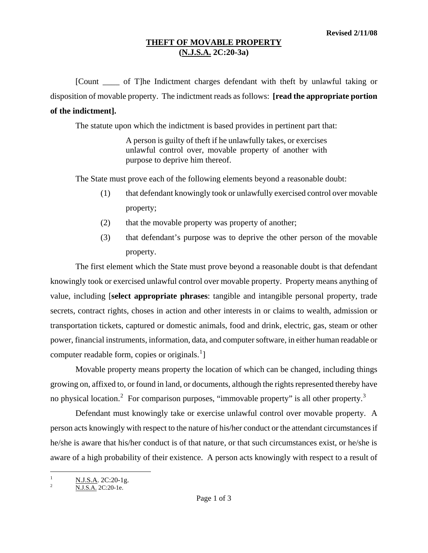## **THEFT OF MOVABLE PROPERTY (N.J.S.A. 2C:20-3a)**

[Count \_\_\_\_ of T]he Indictment charges defendant with theft by unlawful taking or disposition of movable property. The indictment reads as follows: **[read the appropriate portion of the indictment].** 

The statute upon which the indictment is based provides in pertinent part that:

A person is guilty of theft if he unlawfully takes, or exercises unlawful control over, movable property of another with purpose to deprive him thereof.

The State must prove each of the following elements beyond a reasonable doubt:

- (1) that defendant knowingly took or unlawfully exercised control over movable property;
- (2) that the movable property was property of another;
- (3) that defendant's purpose was to deprive the other person of the movable property.

The first element which the State must prove beyond a reasonable doubt is that defendant knowingly took or exercised unlawful control over movable property. Property means anything of value, including [**select appropriate phrases**: tangible and intangible personal property, trade secrets, contract rights, choses in action and other interests in or claims to wealth, admission or transportation tickets, captured or domestic animals, food and drink, electric, gas, steam or other power, financial instruments, information, data, and computer software, in either human readable or computer readable form, copies or originals. $^{1}$  $^{1}$  $^{1}$ ]

Movable property means property the location of which can be changed, including things growing on, affixed to, or found in land, or documents, although the rights represented thereby have no physical location.<sup>[2](#page-0-1)</sup> For comparison purposes, "immovable property" is all other property.<sup>[3](#page-0-2)</sup>

Defendant must knowingly take or exercise unlawful control over movable property. A person acts knowingly with respect to the nature of his/her conduct or the attendant circumstances if he/she is aware that his/her conduct is of that nature, or that such circumstances exist, or he/she is aware of a high probability of their existence. A person acts knowingly with respect to a result of

<span id="page-0-2"></span><span id="page-0-0"></span> $\frac{1}{1}$  $\frac{N.J.S.A.}{N.I.S.A.}$  2C:20-1g.

<span id="page-0-1"></span>N.J.S.A. 2C:20-1e.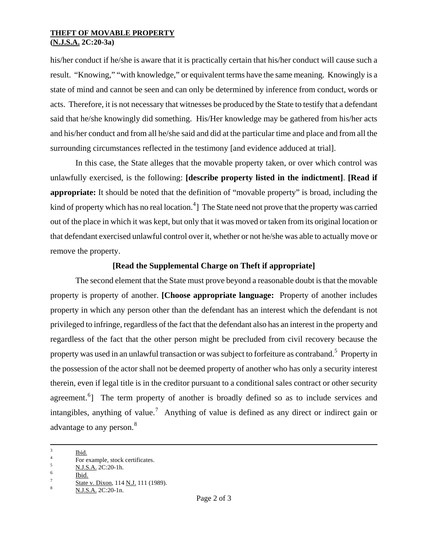## **THEFT OF MOVABLE PROPERTY (N.J.S.A. 2C:20-3a)**

his/her conduct if he/she is aware that it is practically certain that his/her conduct will cause such a result. "Knowing," "with knowledge," or equivalent terms have the same meaning. Knowingly is a state of mind and cannot be seen and can only be determined by inference from conduct, words or acts. Therefore, it is not necessary that witnesses be produced by the State to testify that a defendant said that he/she knowingly did something. His/Her knowledge may be gathered from his/her acts and his/her conduct and from all he/she said and did at the particular time and place and from all the surrounding circumstances reflected in the testimony [and evidence adduced at trial].

In this case, the State alleges that the movable property taken, or over which control was unlawfully exercised, is the following: **[describe property listed in the indictment]**. **[Read if appropriate:** It should be noted that the definition of "movable property" is broad, including the kind of property which has no real location.<sup>[4](#page-1-0)</sup>] The State need not prove that the property was carried out of the place in which it was kept, but only that it was moved or taken from its original location or that defendant exercised unlawful control over it, whether or not he/she was able to actually move or remove the property.

## **[Read the Supplemental Charge on Theft if appropriate]**

The second element that the State must prove beyond a reasonable doubt is that the movable property is property of another. **[Choose appropriate language:** Property of another includes property in which any person other than the defendant has an interest which the defendant is not privileged to infringe, regardless of the fact that the defendant also has an interest in the property and regardless of the fact that the other person might be precluded from civil recovery because the property was used in an unlawful transaction or was subject to forfeiture as contraband.<sup>[5](#page-1-1)</sup> Property in the possession of the actor shall not be deemed property of another who has only a security interest therein, even if legal title is in the creditor pursuant to a conditional sales contract or other security agreement.<sup>[6](#page-1-2)</sup>] The term property of another is broadly defined so as to include services and intangibles, anything of value.<sup>[7](#page-1-3)</sup> Anything of value is defined as any direct or indirect gain or advantage to any person.<sup>[8](#page-1-4)</sup>

i<br>Li 3  $\frac{3}{4}$  Ibid.

<span id="page-1-0"></span> $\frac{4}{5}$  For example, stock certificates.

<span id="page-1-2"></span><span id="page-1-1"></span> $\frac{N.J.S.A.}{100}$  2C:20-1h.

<span id="page-1-3"></span>State v. Dixon, 114 N.J. 111 (1989).<br>N.J.S.A. 2C:20-1n.

<span id="page-1-4"></span>